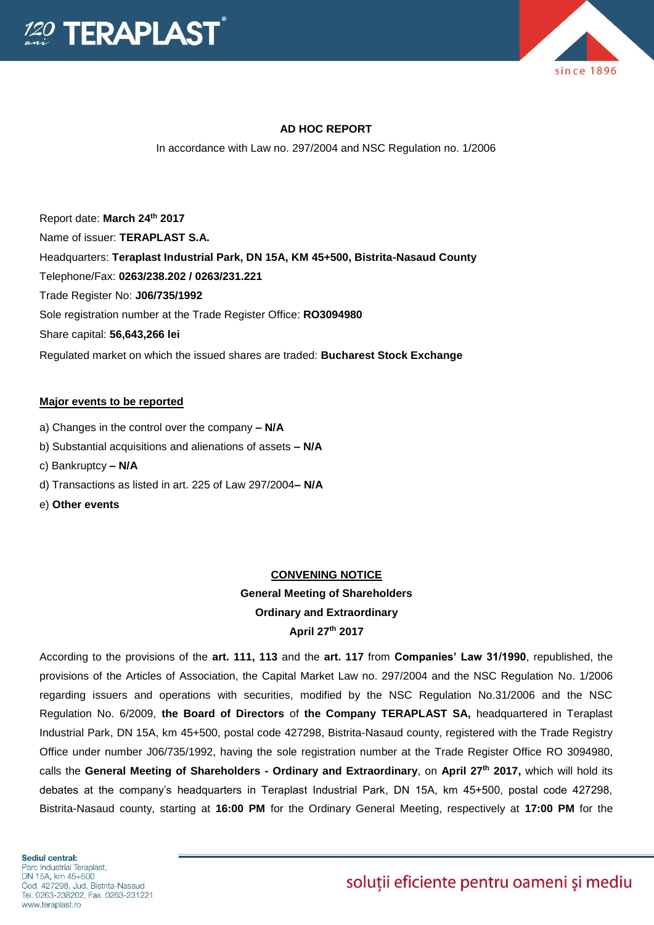



### **AD HOC REPORT**

In accordance with Law no. 297/2004 and NSC Regulation no. 1/2006

Report date: **March 24 th 2017** Name of issuer: **TERAPLAST S.A.**  Headquarters: **Teraplast Industrial Park, DN 15A, KM 45+500, Bistrita-Nasaud County** Telephone/Fax: **0263/238.202 / 0263/231.221** Trade Register No: **J06/735/1992** Sole registration number at the Trade Register Office: **RO3094980** Share capital: **56,643,266 lei**  Regulated market on which the issued shares are traded: **Bucharest Stock Exchange**

#### **Major events to be reported**

- a) Changes in the control over the company **– N/A**
- b) Substantial acquisitions and alienations of assets **– N/A**
- c) Bankruptcy **– N/A**
- d) Transactions as listed in art. 225 of Law 297/2004**– N/A**
- e) **Other events**

#### **CONVENING NOTICE**

## **General Meeting of Shareholders Ordinary and Extraordinary April 27 th 2017**

According to the provisions of the **art. 111, 113** and the **art. 117** from **Companies' Law 31/1990**, republished, the provisions of the Articles of Association, the Capital Market Law no. 297/2004 and the NSC Regulation No. 1/2006 regarding issuers and operations with securities, modified by the NSC Regulation No.31/2006 and the NSC Regulation No. 6/2009, **the Board of Directors** of **the Company TERAPLAST SA,** headquartered in Teraplast Industrial Park, DN 15A, km 45+500, postal code 427298, Bistrita-Nasaud county, registered with the Trade Registry Office under number J06/735/1992, having the sole registration number at the Trade Register Office RO 3094980, calls the **General Meeting of Shareholders - Ordinary and Extraordinary**, on **April 27 th 2017,** which will hold its debates at the company's headquarters in Teraplast Industrial Park, DN 15A, km 45+500, postal code 427298, Bistrita-Nasaud county, starting at **16:00 PM** for the Ordinary General Meeting, respectively at **17:00 PM** for the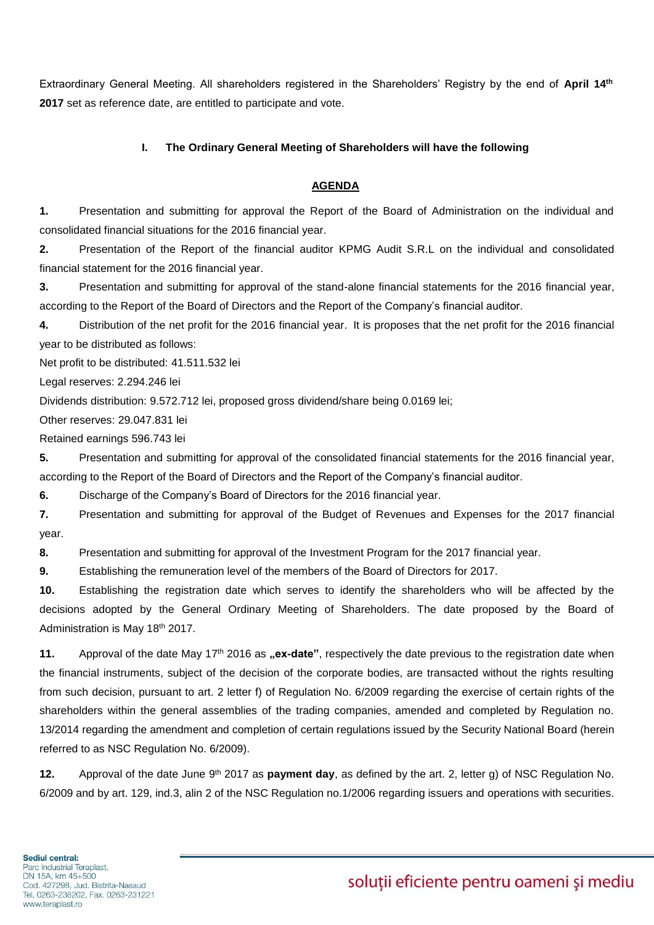Extraordinary General Meeting. All shareholders registered in the Shareholders' Registry by the end of April 14<sup>th</sup> **2017** set as reference date, are entitled to participate and vote.

### **I. The Ordinary General Meeting of Shareholders will have the following**

#### **AGENDA**

**1.** Presentation and submitting for approval the Report of the Board of Administration on the individual and consolidated financial situations for the 2016 financial year.

**2.** Presentation of the Report of the financial auditor KPMG Audit S.R.L on the individual and consolidated financial statement for the 2016 financial year.

**3.** Presentation and submitting for approval of the stand-alone financial statements for the 2016 financial year, according to the Report of the Board of Directors and the Report of the Company's financial auditor.

**4.** Distribution of the net profit for the 2016 financial year. It is proposes that the net profit for the 2016 financial year to be distributed as follows:

Net profit to be distributed: 41.511.532 lei

Legal reserves: 2.294.246 lei

Dividends distribution: 9.572.712 lei, proposed gross dividend/share being 0.0169 lei;

Other reserves: 29.047.831 lei

Retained earnings 596.743 lei

**5.** Presentation and submitting for approval of the consolidated financial statements for the 2016 financial year, according to the Report of the Board of Directors and the Report of the Company's financial auditor.

**6.** Discharge of the Company's Board of Directors for the 2016 financial year.

**7.** Presentation and submitting for approval of the Budget of Revenues and Expenses for the 2017 financial year.

**8.** Presentation and submitting for approval of the Investment Program for the 2017 financial year.

**9.** Establishing the remuneration level of the members of the Board of Directors for 2017.

**10.** Establishing the registration date which serves to identify the shareholders who will be affected by the decisions adopted by the General Ordinary Meeting of Shareholders. The date proposed by the Board of Administration is May 18th 2017.

**11.** Approval of the date May 17<sup>th</sup> 2016 as **"ex-date**", respectively the date previous to the registration date when the financial instruments, subject of the decision of the corporate bodies, are transacted without the rights resulting from such decision, pursuant to art. 2 letter f) of Regulation No. 6/2009 regarding the exercise of certain rights of the shareholders within the general assemblies of the trading companies, amended and completed by Regulation no. 13/2014 regarding the amendment and completion of certain regulations issued by the Security National Board (herein referred to as NSC Regulation No. 6/2009).

**12.** Approval of the date June 9<sup>th</sup> 2017 as **payment day**, as defined by the art. 2, letter g) of NSC Regulation No. 6/2009 and by art. 129, ind.3, alin 2 of the NSC Regulation no.1/2006 regarding issuers and operations with securities.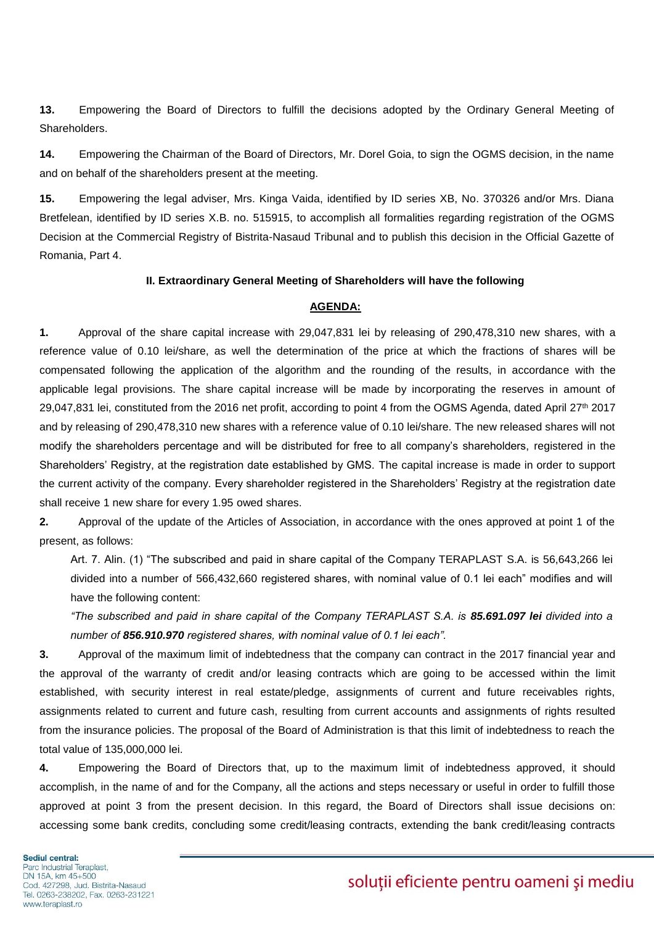**13.** Empowering the Board of Directors to fulfill the decisions adopted by the Ordinary General Meeting of Shareholders.

**14.** Empowering the Chairman of the Board of Directors, Mr. Dorel Goia, to sign the OGMS decision, in the name and on behalf of the shareholders present at the meeting.

**15.** Empowering the legal adviser, Mrs. Kinga Vaida, identified by ID series XB, No. 370326 and/or Mrs. Diana Bretfelean, identified by ID series X.B. no. 515915, to accomplish all formalities regarding registration of the OGMS Decision at the Commercial Registry of Bistrita-Nasaud Tribunal and to publish this decision in the Official Gazette of Romania, Part 4.

#### **II. Extraordinary General Meeting of Shareholders will have the following**

### **AGENDA:**

**1.** Approval of the share capital increase with 29,047,831 lei by releasing of 290,478,310 new shares, with a reference value of 0.10 lei/share, as well the determination of the price at which the fractions of shares will be compensated following the application of the algorithm and the rounding of the results, in accordance with the applicable legal provisions. The share capital increase will be made by incorporating the reserves in amount of 29,047,831 lei, constituted from the 2016 net profit, according to point 4 from the OGMS Agenda, dated April 27<sup>th</sup> 2017 and by releasing of 290,478,310 new shares with a reference value of 0.10 lei/share. The new released shares will not modify the shareholders percentage and will be distributed for free to all company's shareholders, registered in the Shareholders' Registry, at the registration date established by GMS. The capital increase is made in order to support the current activity of the company. Every shareholder registered in the Shareholders' Registry at the registration date shall receive 1 new share for every 1.95 owed shares.

**2.** Approval of the update of the Articles of Association, in accordance with the ones approved at point 1 of the present, as follows:

Art. 7. Alin. (1) "The subscribed and paid in share capital of the Company TERAPLAST S.A. is 56,643,266 lei divided into a number of 566,432,660 registered shares, with nominal value of 0.1 lei each" modifies and will have the following content:

*"The subscribed and paid in share capital of the Company TERAPLAST S.A. is 85.691.097 lei divided into a number of 856.910.970 registered shares, with nominal value of 0.1 lei each".* 

**3.** Approval of the maximum limit of indebtedness that the company can contract in the 2017 financial year and the approval of the warranty of credit and/or leasing contracts which are going to be accessed within the limit established, with security interest in real estate/pledge, assignments of current and future receivables rights, assignments related to current and future cash, resulting from current accounts and assignments of rights resulted from the insurance policies. The proposal of the Board of Administration is that this limit of indebtedness to reach the total value of 135,000,000 lei.

**4.** Empowering the Board of Directors that, up to the maximum limit of indebtedness approved, it should accomplish, in the name of and for the Company, all the actions and steps necessary or useful in order to fulfill those approved at point 3 from the present decision. In this regard, the Board of Directors shall issue decisions on: accessing some bank credits, concluding some credit/leasing contracts, extending the bank credit/leasing contracts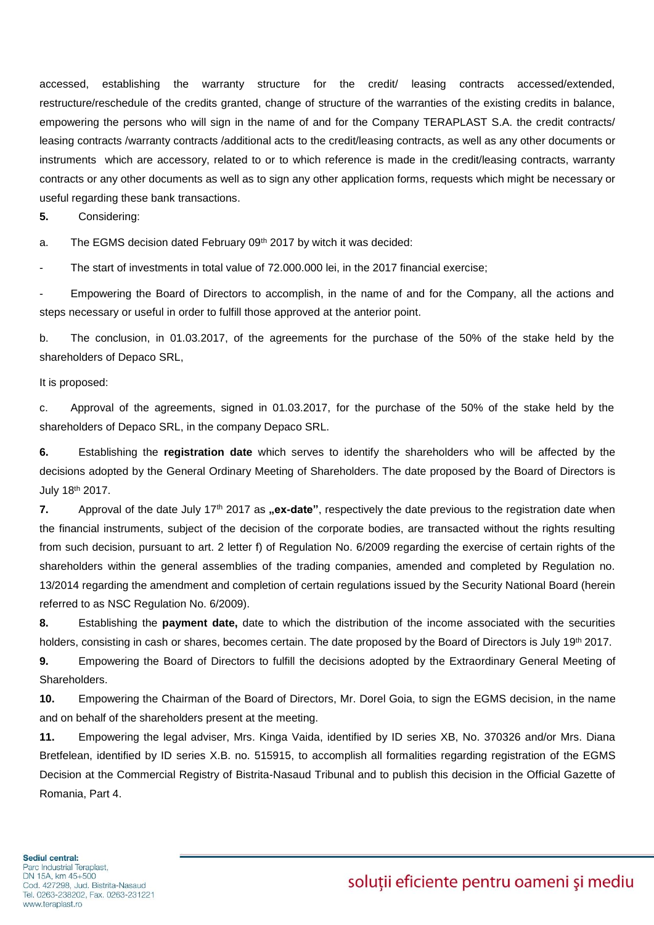accessed, establishing the warranty structure for the credit/ leasing contracts accessed/extended, restructure/reschedule of the credits granted, change of structure of the warranties of the existing credits in balance, empowering the persons who will sign in the name of and for the Company TERAPLAST S.A. the credit contracts/ leasing contracts /warranty contracts /additional acts to the credit/leasing contracts, as well as any other documents or instruments which are accessory, related to or to which reference is made in the credit/leasing contracts, warranty contracts or any other documents as well as to sign any other application forms, requests which might be necessary or useful regarding these bank transactions.

**5.** Considering:

a. The EGMS decision dated February 09th 2017 by witch it was decided:

The start of investments in total value of 72.000.000 lei, in the 2017 financial exercise;

Empowering the Board of Directors to accomplish, in the name of and for the Company, all the actions and steps necessary or useful in order to fulfill those approved at the anterior point.

b. The conclusion, in 01.03.2017, of the agreements for the purchase of the 50% of the stake held by the shareholders of Depaco SRL,

It is proposed:

c. Approval of the agreements, signed in 01.03.2017, for the purchase of the 50% of the stake held by the shareholders of Depaco SRL, in the company Depaco SRL.

**6.** Establishing the **registration date** which serves to identify the shareholders who will be affected by the decisions adopted by the General Ordinary Meeting of Shareholders. The date proposed by the Board of Directors is July 18th 2017.

**7.** Approval of the date July 17<sup>th</sup> 2017 as **"ex-date**", respectively the date previous to the registration date when the financial instruments, subject of the decision of the corporate bodies, are transacted without the rights resulting from such decision, pursuant to art. 2 letter f) of Regulation No. 6/2009 regarding the exercise of certain rights of the shareholders within the general assemblies of the trading companies, amended and completed by Regulation no. 13/2014 regarding the amendment and completion of certain regulations issued by the Security National Board (herein referred to as NSC Regulation No. 6/2009).

**8.** Establishing the **payment date,** date to which the distribution of the income associated with the securities holders, consisting in cash or shares, becomes certain. The date proposed by the Board of Directors is July 19<sup>th</sup> 2017.

**9.** Empowering the Board of Directors to fulfill the decisions adopted by the Extraordinary General Meeting of Shareholders.

**10.** Empowering the Chairman of the Board of Directors, Mr. Dorel Goia, to sign the EGMS decision, in the name and on behalf of the shareholders present at the meeting.

**11.** Empowering the legal adviser, Mrs. Kinga Vaida, identified by ID series XB, No. 370326 and/or Mrs. Diana Bretfelean, identified by ID series X.B. no. 515915, to accomplish all formalities regarding registration of the EGMS Decision at the Commercial Registry of Bistrita-Nasaud Tribunal and to publish this decision in the Official Gazette of Romania, Part 4.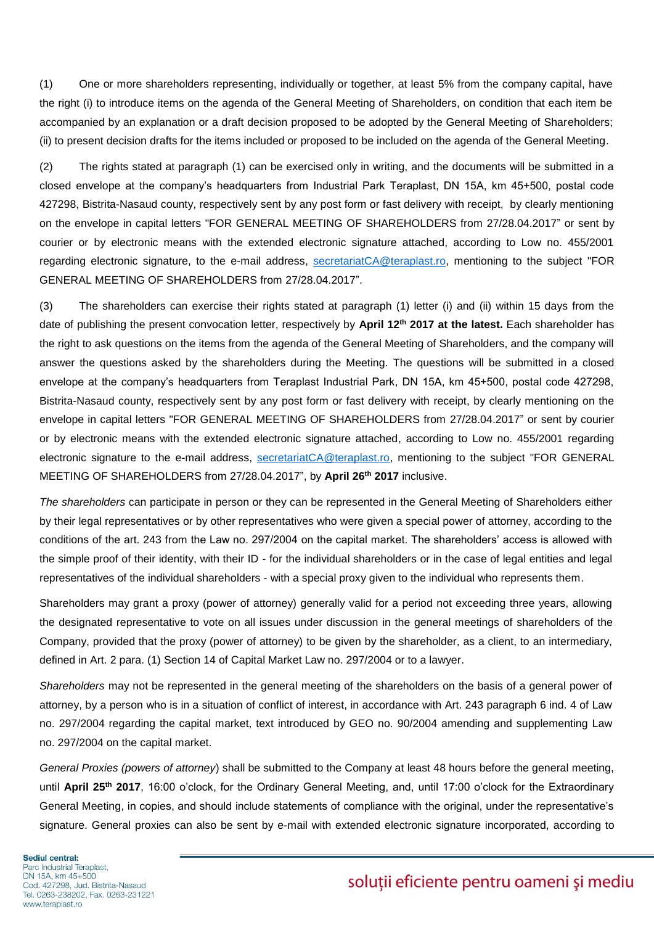(1) One or more shareholders representing, individually or together, at least 5% from the company capital, have the right (i) to introduce items on the agenda of the General Meeting of Shareholders, on condition that each item be accompanied by an explanation or a draft decision proposed to be adopted by the General Meeting of Shareholders; (ii) to present decision drafts for the items included or proposed to be included on the agenda of the General Meeting.

(2) The rights stated at paragraph (1) can be exercised only in writing, and the documents will be submitted in a closed envelope at the company's headquarters from Industrial Park Teraplast, DN 15A, km 45+500, postal code 427298, Bistrita-Nasaud county, respectively sent by any post form or fast delivery with receipt, by clearly mentioning on the envelope in capital letters "FOR GENERAL MEETING OF SHAREHOLDERS from 27/28.04.2017" or sent by courier or by electronic means with the extended electronic signature attached, according to Low no. 455/2001 regarding electronic signature, to the e-mail address, [secretariatCA@teraplast.ro,](mailto:secretariatCA@teraplast.ro) mentioning to the subject "FOR GENERAL MEETING OF SHAREHOLDERS from 27/28.04.2017".

(3) The shareholders can exercise their rights stated at paragraph (1) letter (i) and (ii) within 15 days from the date of publishing the present convocation letter, respectively by **April 12th 2017 at the latest.** Each shareholder has the right to ask questions on the items from the agenda of the General Meeting of Shareholders, and the company will answer the questions asked by the shareholders during the Meeting. The questions will be submitted in a closed envelope at the company's headquarters from Teraplast Industrial Park, DN 15A, km 45+500, postal code 427298, Bistrita-Nasaud county, respectively sent by any post form or fast delivery with receipt, by clearly mentioning on the envelope in capital letters "FOR GENERAL MEETING OF SHAREHOLDERS from 27/28.04.2017" or sent by courier or by electronic means with the extended electronic signature attached, according to Low no. 455/2001 regarding electronic signature to the e-mail address, [secretariatCA@teraplast.ro,](mailto:secretariatCA@teraplast.ro) mentioning to the subject "FOR GENERAL MEETING OF SHAREHOLDERS from 27/28.04.2017", by **April 26th 2017** inclusive.

*The shareholders* can participate in person or they can be represented in the General Meeting of Shareholders either by their legal representatives or by other representatives who were given a special power of attorney, according to the conditions of the art. 243 from the Law no. 297/2004 on the capital market. The shareholders' access is allowed with the simple proof of their identity, with their ID - for the individual shareholders or in the case of legal entities and legal representatives of the individual shareholders - with a special proxy given to the individual who represents them.

Shareholders may grant a proxy (power of attorney) generally valid for a period not exceeding three years, allowing the designated representative to vote on all issues under discussion in the general meetings of shareholders of the Company, provided that the proxy (power of attorney) to be given by the shareholder, as a client, to an intermediary, defined in Art. 2 para. (1) Section 14 of Capital Market Law no. 297/2004 or to a lawyer.

*Shareholders* may not be represented in the general meeting of the shareholders on the basis of a general power of attorney, by a person who is in a situation of conflict of interest, in accordance with Art. 243 paragraph 6 ind. 4 of Law no. 297/2004 regarding the capital market, text introduced by GEO no. 90/2004 amending and supplementing Law no. 297/2004 on the capital market.

*General Proxies (powers of attorney*) shall be submitted to the Company at least 48 hours before the general meeting, until **April 25th 2017**, 16:00 o'clock, for the Ordinary General Meeting, and, until 17:00 o'clock for the Extraordinary General Meeting, in copies, and should include statements of compliance with the original, under the representative's signature. General proxies can also be sent by e-mail with extended electronic signature incorporated, according to

#### Sediul central: Parc Industrial Teraplast, DN 15A, km 45+500 Cod. 427298, Jud. Bistrita-Nasaud Tel. 0263-238202, Fax. 0263-231221 www.teraplast.ro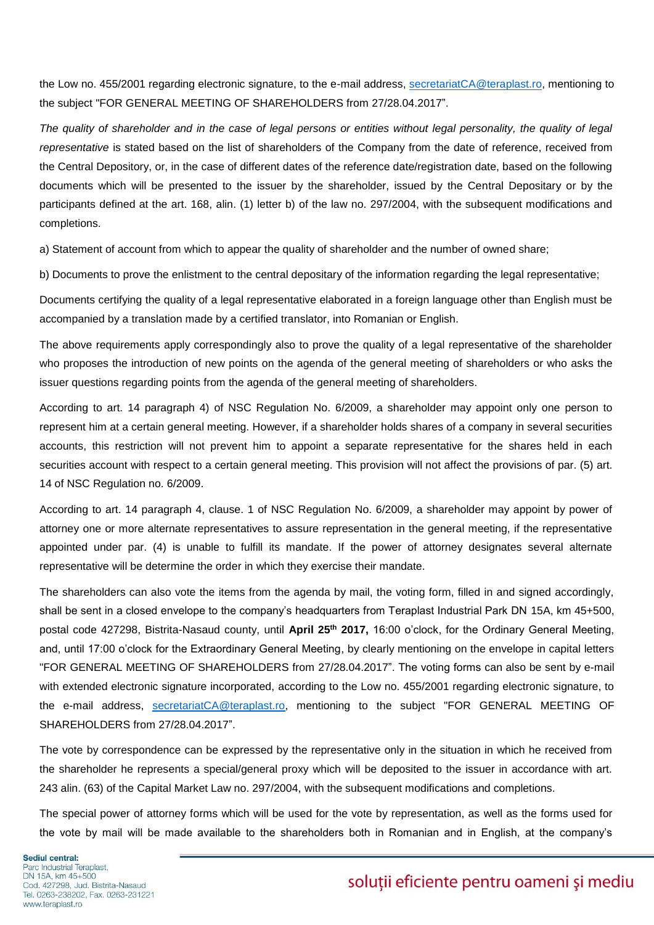the Low no. 455/2001 regarding electronic signature, to the e-mail address, [secretariatCA@teraplast.ro,](mailto:secretariatCA@teraplast.ro) mentioning to the subject "FOR GENERAL MEETING OF SHAREHOLDERS from 27/28.04.2017".

*The quality of shareholder and in the case of legal persons or entities without legal personality, the quality of legal representative* is stated based on the list of shareholders of the Company from the date of reference, received from the Central Depository, or, in the case of different dates of the reference date/registration date, based on the following documents which will be presented to the issuer by the shareholder, issued by the Central Depositary or by the participants defined at the art. 168, alin. (1) letter b) of the law no. 297/2004, with the subsequent modifications and completions.

a) Statement of account from which to appear the quality of shareholder and the number of owned share;

b) Documents to prove the enlistment to the central depositary of the information regarding the legal representative;

Documents certifying the quality of a legal representative elaborated in a foreign language other than English must be accompanied by a translation made by a certified translator, into Romanian or English.

The above requirements apply correspondingly also to prove the quality of a legal representative of the shareholder who proposes the introduction of new points on the agenda of the general meeting of shareholders or who asks the issuer questions regarding points from the agenda of the general meeting of shareholders.

According to art. 14 paragraph 4) of NSC Regulation No. 6/2009, a shareholder may appoint only one person to represent him at a certain general meeting. However, if a shareholder holds shares of a company in several securities accounts, this restriction will not prevent him to appoint a separate representative for the shares held in each securities account with respect to a certain general meeting. This provision will not affect the provisions of par. (5) art. 14 of NSC Regulation no. 6/2009.

According to art. 14 paragraph 4, clause. 1 of NSC Regulation No. 6/2009, a shareholder may appoint by power of attorney one or more alternate representatives to assure representation in the general meeting, if the representative appointed under par. (4) is unable to fulfill its mandate. If the power of attorney designates several alternate representative will be determine the order in which they exercise their mandate.

The shareholders can also vote the items from the agenda by mail, the voting form, filled in and signed accordingly, shall be sent in a closed envelope to the company's headquarters from Teraplast Industrial Park DN 15A, km 45+500, postal code 427298, Bistrita-Nasaud county, until **April 25th 2017,** 16:00 o'clock, for the Ordinary General Meeting, and, until 17:00 o'clock for the Extraordinary General Meeting, by clearly mentioning on the envelope in capital letters "FOR GENERAL MEETING OF SHAREHOLDERS from 27/28.04.2017". The voting forms can also be sent by e-mail with extended electronic signature incorporated, according to the Low no. 455/2001 regarding electronic signature, to the e-mail address, [secretariatCA@teraplast.ro,](mailto:secretariatCA@teraplast.ro) mentioning to the subject "FOR GENERAL MEETING OF SHAREHOLDERS from 27/28.04.2017".

The vote by correspondence can be expressed by the representative only in the situation in which he received from the shareholder he represents a special/general proxy which will be deposited to the issuer in accordance with art. 243 alin. (63) of the Capital Market Law no. 297/2004, with the subsequent modifications and completions.

The special power of attorney forms which will be used for the vote by representation, as well as the forms used for the vote by mail will be made available to the shareholders both in Romanian and in English, at the company's

Sediul central: Parc Industrial Teraplast, DN 15A, km 45+500 Cod. 427298, Jud. Bistrita-Nasaud Tel. 0263-238202, Fax. 0263-231221 www.teraplast.ro